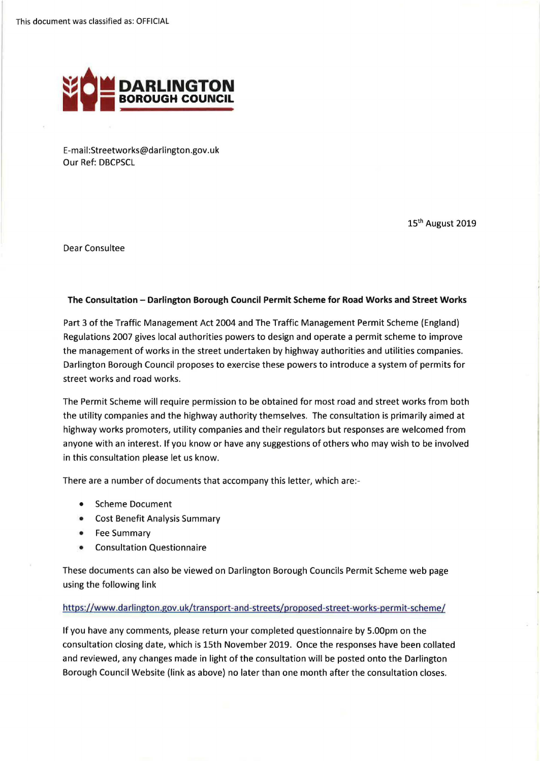

E-mail:Streetworks@darlington.gov.uk Our Ref: DBCPSCL

15<sup>th</sup> August 2019

Dear Consultee

## **The Consultation - Darlington Borough Council Permit Scheme for Road Works and Street Works**

Part 3 of the Traffic Management Act 2004 and The Traffic Management Permit Scheme (England) Regulations 2007 gives local authorities powers to design and operate a permit scheme to improve the management of works in the street undertaken by highway authorities and utilities companies. Darlington Borough Council proposes to exercise these powers to introduce a system of permits for street works and road works.

The Permit Scheme will require permission to be obtained for most road and street works from both the utility companies and the highway authority themselves. The consultation is primarily aimed at highway works promoters, utility companies and their regulators but responses are welcomed from anyone with an interest. If you know or have any suggestions of others who may wish to be involved in this consultation please let us know.

There are a number of documents that accompany this letter, which are:-

- Scheme Document
- Cost Benefit Analysis Summary
- Fee Summary
- Consultation Questionnaire

These documents can also be viewed on Darlington Borough Councils Permit Scheme web page using the following link

## <https://www>.darlington.gov.uk/transport-and-streets/proposed-street-works-permit-scheme/

If you have any comments, please return your completed questionnaire by 5.00pm on the consultation closing date, which is 15th November 2019. Once the responses have been collated and reviewed, any changes made in light of the consultation will be posted onto the Darlington Borough Council Website (link as above) no later than one month after the consultation closes.